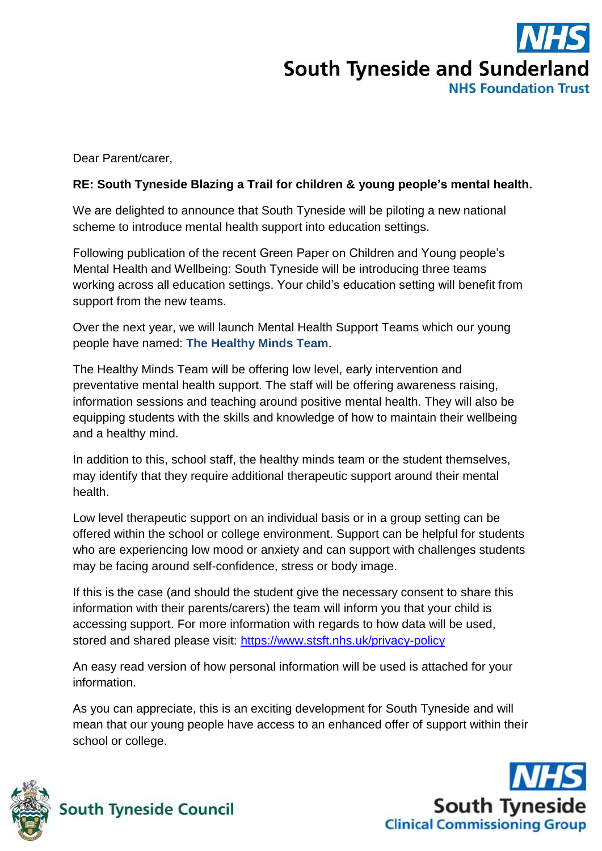# **South Tyneside and Sunderland NHS Foundation Trust**

Dear Parent/carer,

#### **RE: South Tyneside Blazing a Trail for children & young people's mental health.**

We are delighted to announce that South Tyneside will be piloting a new national scheme to introduce mental health support into education settings.

Following publication of the recent Green Paper on Children and Young people's Mental Health and Wellbeing: South Tyneside will be introducing three teams working across all education settings. Your child's education setting will benefit from support from the new teams.

Over the next year, we will launch Mental Health Support Teams which our young people have named: **The Healthy Minds Team**.

The Healthy Minds Team will be offering low level, early intervention and preventative mental health support. The staff will be offering awareness raising, information sessions and teaching around positive mental health. They will also be equipping students with the skills and knowledge of how to maintain their wellbeing and a healthy mind.

In addition to this, school staff, the healthy minds team or the student themselves, may identify that they require additional therapeutic support around their mental health.

Low level therapeutic support on an individual basis or in a group setting can be offered within the school or college environment. Support can be helpful for students who are experiencing low mood or anxiety and can support with challenges students may be facing around self-confidence, stress or body image.

If this is the case (and should the student give the necessary consent to share this information with their parents/carers) the team will inform you that your child is accessing support. For more information with regards to how data will be used, stored and shared please visit:<https://www.stsft.nhs.uk/privacy-policy>

An easy read version of how personal information will be used is attached for your information.

As you can appreciate, this is an exciting development for South Tyneside and will mean that our young people have access to an enhanced offer of support within their school or college.



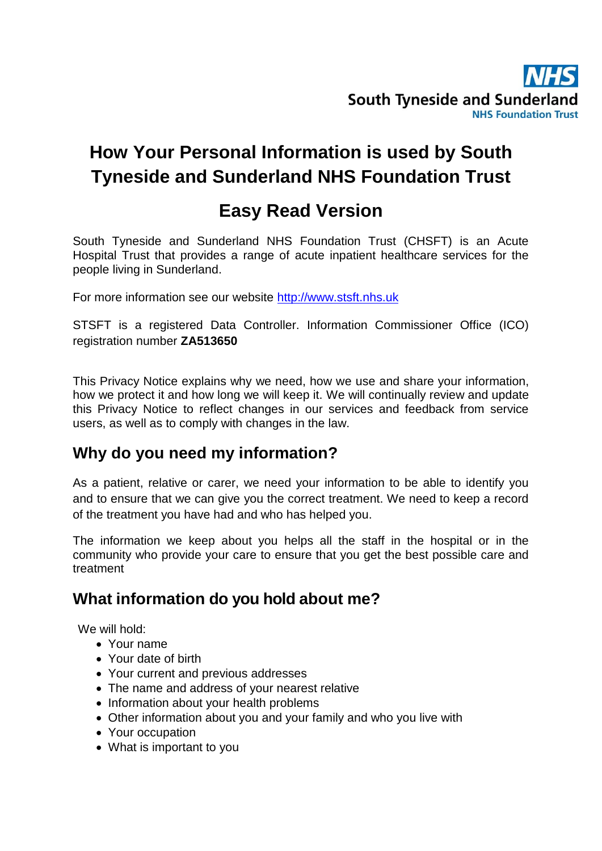

# **How Your Personal Information is used by South Tyneside and Sunderland NHS Foundation Trust**

## **Easy Read Version**

South Tyneside and Sunderland NHS Foundation Trust (CHSFT) is an Acute Hospital Trust that provides a range of acute inpatient healthcare services for the people living in Sunderland.

For more information see our website [http://www.stsft.nhs.uk](http://www.stsft.nhs.uk/)

STSFT is a registered Data Controller. Information Commissioner Office (ICO) registration number **ZA513650**

This Privacy Notice explains why we need, how we use and share your information, how we protect it and how long we will keep it. We will continually review and update this Privacy Notice to reflect changes in our services and feedback from service users, as well as to comply with changes in the law.

#### **Why do you need my information?**

As a patient, relative or carer, we need your information to be able to identify you and to ensure that we can give you the correct treatment. We need to keep a record of the treatment you have had and who has helped you.

The information we keep about you helps all the staff in the hospital or in the community who provide your care to ensure that you get the best possible care and treatment

## **What information do you hold about me?**

We will hold:

- Your name
- Your date of birth
- Your current and previous addresses
- The name and address of your nearest relative
- Information about your health problems
- Other information about you and your family and who you live with
- Your occupation
- What is important to you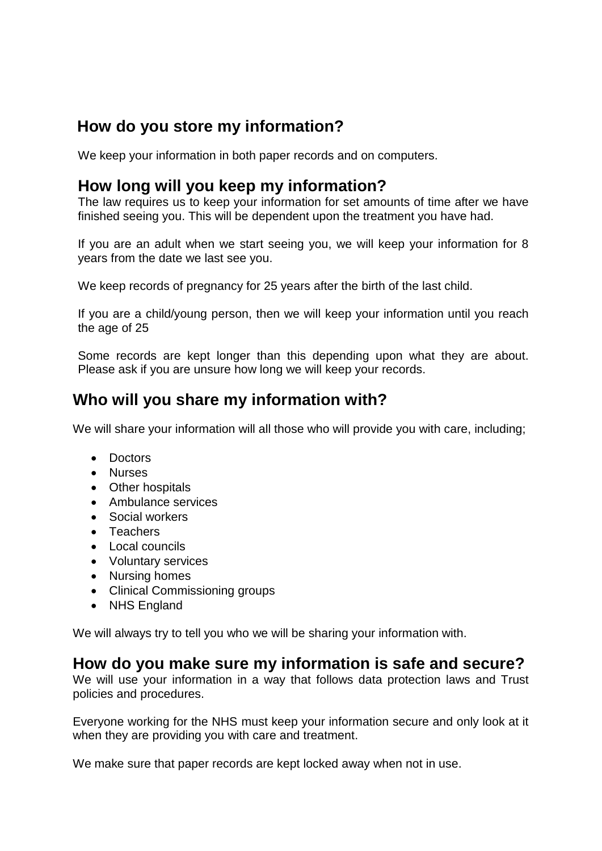## **How do you store my information?**

We keep your information in both paper records and on computers.

#### **How long will you keep my information?**

The law requires us to keep your information for set amounts of time after we have finished seeing you. This will be dependent upon the treatment you have had.

If you are an adult when we start seeing you, we will keep your information for 8 years from the date we last see you.

We keep records of pregnancy for 25 years after the birth of the last child.

If you are a child/young person, then we will keep your information until you reach the age of 25

Some records are kept longer than this depending upon what they are about. Please ask if you are unsure how long we will keep your records.

## **Who will you share my information with?**

We will share your information will all those who will provide you with care, including;

- Doctors
- Nurses
- Other hospitals
- Ambulance services
- Social workers
- Teachers
- Local councils
- Voluntary services
- Nursing homes
- Clinical Commissioning groups
- NHS England

We will always try to tell you who we will be sharing your information with.

#### **How do you make sure my information is safe and secure?**

We will use your information in a way that follows data protection laws and Trust policies and procedures.

Everyone working for the NHS must keep your information secure and only look at it when they are providing you with care and treatment.

We make sure that paper records are kept locked away when not in use.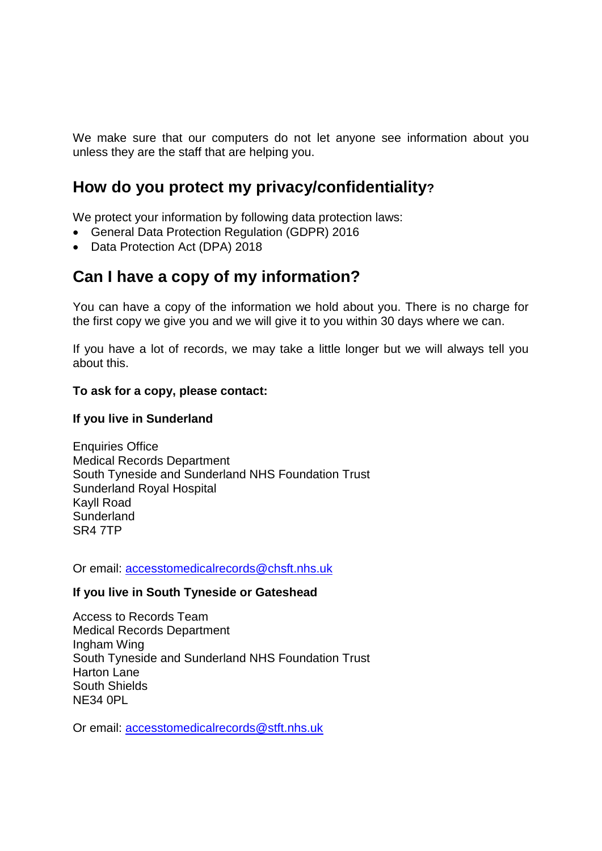We make sure that our computers do not let anyone see information about you unless they are the staff that are helping you.

## **How do you protect my privacy/confidentiality?**

We protect your information by following data protection laws:

- General Data Protection Regulation (GDPR) 2016
- Data Protection Act (DPA) 2018

## **Can I have a copy of my information?**

You can have a copy of the information we hold about you. There is no charge for the first copy we give you and we will give it to you within 30 days where we can.

If you have a lot of records, we may take a little longer but we will always tell you about this.

#### **To ask for a copy, please contact:**

#### **If you live in Sunderland**

Enquiries Office Medical Records Department South Tyneside and Sunderland NHS Foundation Trust Sunderland Royal Hospital Kayll Road **Sunderland** SR4 7TP

Or email: [accesstomedicalrecords@chsft.nhs.uk](mailto:accesstomedicalrecords@chsft.nhs.uk)

#### **If you live in South Tyneside or Gateshead**

Access to Records Team Medical Records Department Ingham Wing South Tyneside and Sunderland NHS Foundation Trust Harton Lane South Shields NE34 0PL

Or email: [accesstomedicalrecords@stft.nhs.uk](mailto:accesstomedicalrecords@stft.nhs.uk)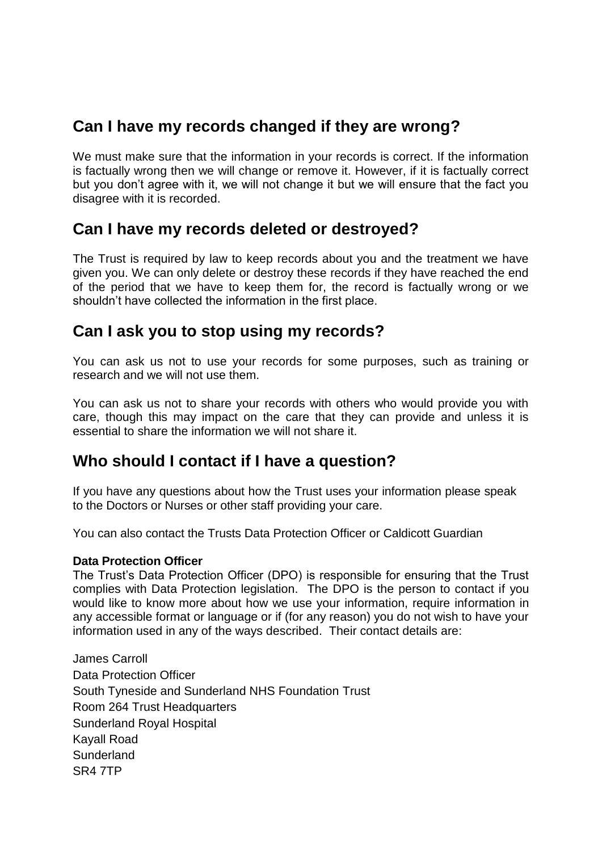## **Can I have my records changed if they are wrong?**

We must make sure that the information in your records is correct. If the information is factually wrong then we will change or remove it. However, if it is factually correct but you don't agree with it, we will not change it but we will ensure that the fact you disagree with it is recorded.

#### **Can I have my records deleted or destroyed?**

The Trust is required by law to keep records about you and the treatment we have given you. We can only delete or destroy these records if they have reached the end of the period that we have to keep them for, the record is factually wrong or we shouldn't have collected the information in the first place.

## **Can I ask you to stop using my records?**

You can ask us not to use your records for some purposes, such as training or research and we will not use them.

You can ask us not to share your records with others who would provide you with care, though this may impact on the care that they can provide and unless it is essential to share the information we will not share it.

## **Who should I contact if I have a question?**

If you have any questions about how the Trust uses your information please speak to the Doctors or Nurses or other staff providing your care.

You can also contact the Trusts Data Protection Officer or Caldicott Guardian

#### **Data Protection Officer**

The Trust's Data Protection Officer (DPO) is responsible for ensuring that the Trust complies with Data Protection legislation. The DPO is the person to contact if you would like to know more about how we use your information, require information in any accessible format or language or if (for any reason) you do not wish to have your information used in any of the ways described. Their contact details are:

James Carroll Data Protection Officer South Tyneside and Sunderland NHS Foundation Trust Room 264 Trust Headquarters Sunderland Royal Hospital Kayall Road **Sunderland** SR4 7TP